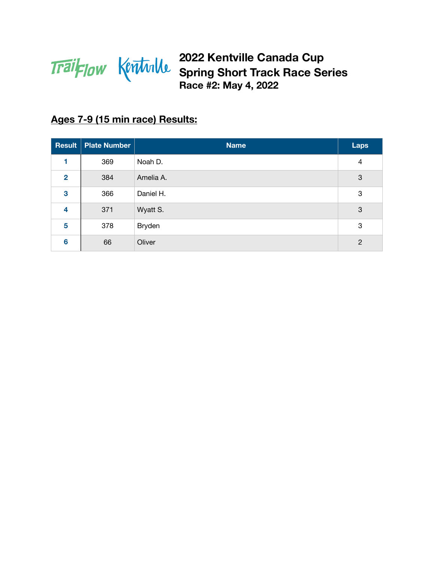

### **Ages 7-9 (15 min race) Results:**

|                 | <b>Result   Plate Number</b> | <b>Name</b> | Laps |
|-----------------|------------------------------|-------------|------|
| 1               | 369                          | Noah D.     | 4    |
| $\overline{2}$  | 384                          | Amelia A.   | 3    |
| 3               | 366                          | Daniel H.   | 3    |
| 4               | 371                          | Wyatt S.    | 3    |
| 5               | 378                          | Bryden      | 3    |
| $6\phantom{1}6$ | 66                           | Oliver      | 2    |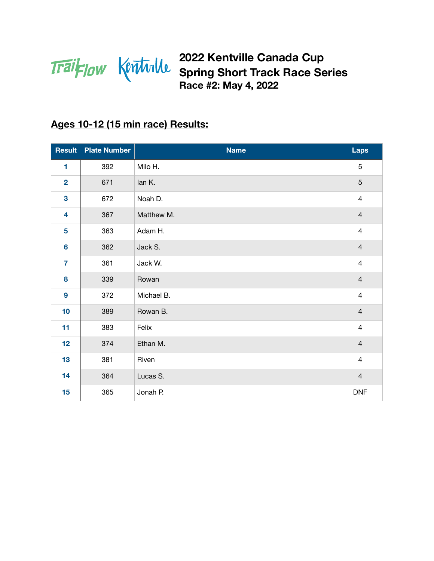

# **Ages 10-12 (15 min race) Results:**

| <b>Result</b>    | <b>Plate Number</b> | <b>Name</b> | <b>Laps</b>    |
|------------------|---------------------|-------------|----------------|
| 1                | 392                 | Milo H.     | 5              |
| $\overline{2}$   | 671                 | lan K.      | 5              |
| 3                | 672                 | Noah D.     | $\overline{4}$ |
| 4                | 367                 | Matthew M.  | $\overline{4}$ |
| 5                | 363                 | Adam H.     | $\overline{4}$ |
| $6\phantom{a}$   | 362                 | Jack S.     | $\overline{4}$ |
| $\overline{7}$   | 361                 | Jack W.     | $\overline{4}$ |
| 8                | 339                 | Rowan       | $\overline{4}$ |
| $\boldsymbol{9}$ | 372                 | Michael B.  | $\overline{4}$ |
| 10               | 389                 | Rowan B.    | $\overline{4}$ |
| 11               | 383                 | Felix       | $\overline{4}$ |
| 12               | 374                 | Ethan M.    | $\overline{4}$ |
| 13               | 381                 | Riven       | $\overline{4}$ |
| 14               | 364                 | Lucas S.    | $\overline{4}$ |
| 15               | 365                 | Jonah P.    | <b>DNF</b>     |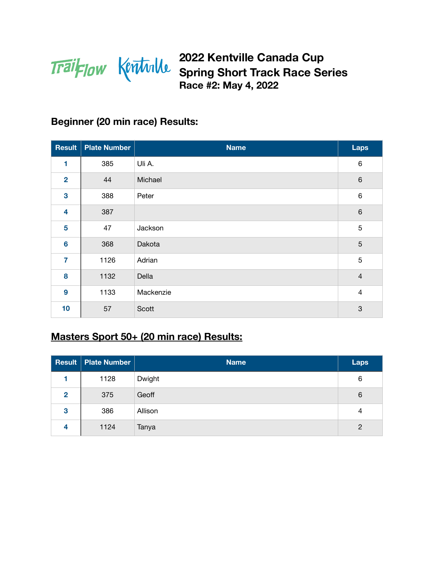

#### **Beginner (20 min race) Results:**

| <b>Result</b>           | <b>Plate Number</b> | <b>Name</b> | Laps           |
|-------------------------|---------------------|-------------|----------------|
| 1                       | 385                 | Uli A.      | $\,6\,$        |
| $\overline{2}$          | 44                  | Michael     | $\,6\,$        |
| $\mathbf{3}$            | 388                 | Peter       | $\,6\,$        |
| $\overline{\mathbf{4}}$ | 387                 |             | $\,6\,$        |
| 5                       | 47                  | Jackson     | $\overline{5}$ |
| $6\phantom{a}$          | 368                 | Dakota      | 5              |
| $\overline{7}$          | 1126                | Adrian      | 5              |
| 8                       | 1132                | Della       | $\overline{4}$ |
| $\boldsymbol{9}$        | 1133                | Mackenzie   | $\overline{4}$ |
| 10                      | 57                  | Scott       | $\mathbf{3}$   |

## **Masters Sport 50+ (20 min race) Results:**

|                | <b>Result Plate Number</b> | <b>Name</b> | <b>Laps</b>    |
|----------------|----------------------------|-------------|----------------|
|                | 1128                       | Dwight      | 6              |
| $\overline{2}$ | 375                        | Geoff       | 6              |
| 3              | 386                        | Allison     | $\overline{4}$ |
| 4              | 1124                       | Tanya       | 2              |